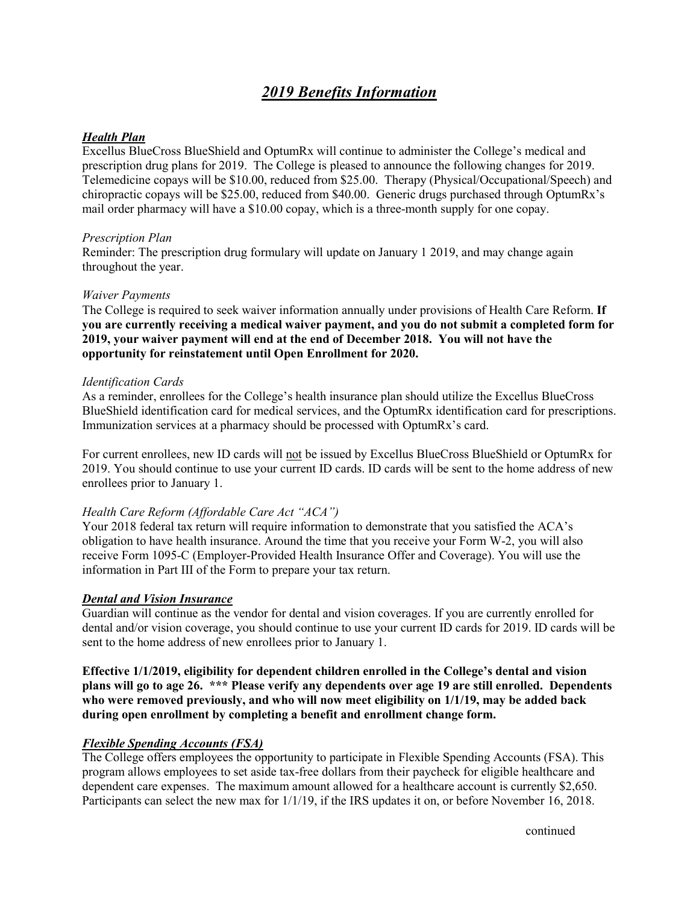# *2019 Benefits Information*

### *Health Plan*

Excellus BlueCross BlueShield and OptumRx will continue to administer the College's medical and prescription drug plans for 2019. The College is pleased to announce the following changes for 2019. Telemedicine copays will be \$10.00, reduced from \$25.00. Therapy (Physical/Occupational/Speech) and chiropractic copays will be \$25.00, reduced from \$40.00. Generic drugs purchased through OptumRx's mail order pharmacy will have a \$10.00 copay, which is a three-month supply for one copay.

### *Prescription Plan*

Reminder: The prescription drug formulary will update on January 1 2019, and may change again throughout the year.

### *Waiver Payments*

The College is required to seek waiver information annually under provisions of Health Care Reform. **If you are currently receiving a medical waiver payment, and you do not submit a completed form for 2019, your waiver payment will end at the end of December 2018. You will not have the opportunity for reinstatement until Open Enrollment for 2020.**

## *Identification Cards*

As a reminder, enrollees for the College's health insurance plan should utilize the Excellus BlueCross BlueShield identification card for medical services, and the OptumRx identification card for prescriptions. Immunization services at a pharmacy should be processed with OptumRx's card.

For current enrollees, new ID cards will not be issued by Excellus BlueCross BlueShield or OptumRx for 2019. You should continue to use your current ID cards. ID cards will be sent to the home address of new enrollees prior to January 1.

# *Health Care Reform (Affordable Care Act "ACA")*

Your 2018 federal tax return will require information to demonstrate that you satisfied the ACA's obligation to have health insurance. Around the time that you receive your Form W-2, you will also receive Form 1095-C (Employer-Provided Health Insurance Offer and Coverage). You will use the information in Part III of the Form to prepare your tax return.

# *Dental and Vision Insurance*

Guardian will continue as the vendor for dental and vision coverages. If you are currently enrolled for dental and/or vision coverage, you should continue to use your current ID cards for 2019. ID cards will be sent to the home address of new enrollees prior to January 1.

**Effective 1/1/2019, eligibility for dependent children enrolled in the College's dental and vision plans will go to age 26. \*\*\* Please verify any dependents over age 19 are still enrolled. Dependents who were removed previously, and who will now meet eligibility on 1/1/19, may be added back during open enrollment by completing a benefit and enrollment change form.**

# *Flexible Spending Accounts (FSA)*

The College offers employees the opportunity to participate in Flexible Spending Accounts (FSA). This program allows employees to set aside tax-free dollars from their paycheck for eligible healthcare and dependent care expenses. The maximum amount allowed for a healthcare account is currently \$2,650. Participants can select the new max for 1/1/19, if the IRS updates it on, or before November 16, 2018.